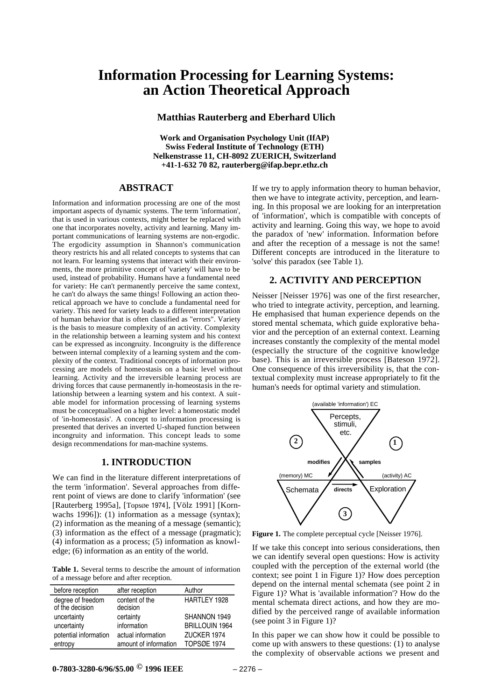## **Information Processing for Learning Systems: an Action Theoretical Approach**

**Matthias Rauterberg and Eberhard Ulich**

**Work and Organisation Psychology Unit (IfAP) Swiss Federal Institute of Technology (ETH) Nelkenstrasse 11, CH-8092 ZUERICH, Switzerland +41-1-632 70 82, rauterberg@ifap.bepr.ethz.ch**

### **ABSTRACT**

Information and information processing are one of the most important aspects of dynamic systems. The term 'information', that is used in various contexts, might better be replaced with one that incorporates novelty, activity and learning. Many important communications of learning systems are non-ergodic. The ergodicity assumption in Shannon's communication theory restricts his and all related concepts to systems that can not learn. For learning systems that interact with their environments, the more primitive concept of 'variety' will have to be used, instead of probability. Humans have a fundamental need for variety: He can't permanently perceive the same context, he can't do always the same things! Following an action theoretical approach we have to conclude a fundamental need for variety. This need for variety leads to a different interpretation of human behavior that is often classified as "errors". Variety is the basis to measure complexity of an activity. Complexity in the relationship between a learning system and his context can be expressed as incongruity. Incongruity is the difference between internal complexity of a learning system and the complexity of the context. Traditional concepts of information processing are models of homeostasis on a basic level without learning. Activity and the irreversible learning process are driving forces that cause permanently in-homeostasis in the relationship between a learning system and his context. A suitable model for information processing of learning systems must be conceptualised on a higher level: a homeostatic model of 'in-homeostasis'. A concept to information processing is presented that derives an inverted U-shaped function between incongruity and information. This concept leads to some design recommendations for man-machine systems.

#### **1. INTRODUCTION**

We can find in the literature different interpretations of the term 'information'. Several approaches from different point of views are done to clarify 'information' (see [Rauterberg 1995a], [TopsØe 1974], [Völz 1991] [Kornwachs 1996]): (1) information as a message (syntax); (2) information as the meaning of a message (semantic); (3) information as the effect of a message (pragmatic); (4) information as a process; (5) information as knowledge; (6) information as an entity of the world.

**Table 1.** Several terms to describe the amount of information of a message before and after reception.

| before reception                     | after reception            | Author                |
|--------------------------------------|----------------------------|-----------------------|
| degree of freedom<br>of the decision | content of the<br>decision | HARTLEY 1928          |
| uncertainty                          | certainty                  | SHANNON 1949          |
| uncertainty                          | information                | <b>BRILLOUIN 1964</b> |
| potential information                | actual information         | ZUCKER 1974           |
| entropy                              | amount of information      | <b>TOPSØE 1974</b>    |

If we try to apply information theory to human behavior, then we have to integrate activity, perception, and learning. In this proposal we are looking for an interpretation of 'information', which is compatible with concepts of activity and learning. Going this way, we hope to avoid the paradox of 'new' information. Information before and after the reception of a message is not the same! Different concepts are introduced in the literature to 'solve' this paradox (see Table 1).

#### **2. ACTIVITY AND PERCEPTION**

Neisser [Neisser 1976] was one of the first researcher, who tried to integrate activity, perception, and learning. He emphasised that human experience depends on the stored mental schemata, which guide explorative behavior and the perception of an external context. Learning increases constantly the complexity of the mental model (especially the structure of the cognitive knowledge base). This is an irreversible process [Bateson 1972]. One consequence of this irreversibility is, that the contextual complexity must increase appropriately to fit the human's needs for optimal variety and stimulation.



Figure 1. The complete perceptual cycle [Neisser 1976].

If we take this concept into serious considerations, then we can identify several open questions: How is activity coupled with the perception of the external world (the context; see point 1 in Figure 1)? How does perception depend on the internal mental schemata (see point 2 in Figure 1)? What is 'available information'? How do the mental schemata direct actions, and how they are modified by the perceived range of available information (see point 3 in Figure 1)?

In this paper we can show how it could be possible to come up with answers to these questions: (1) to analyse the complexity of observable actions we present and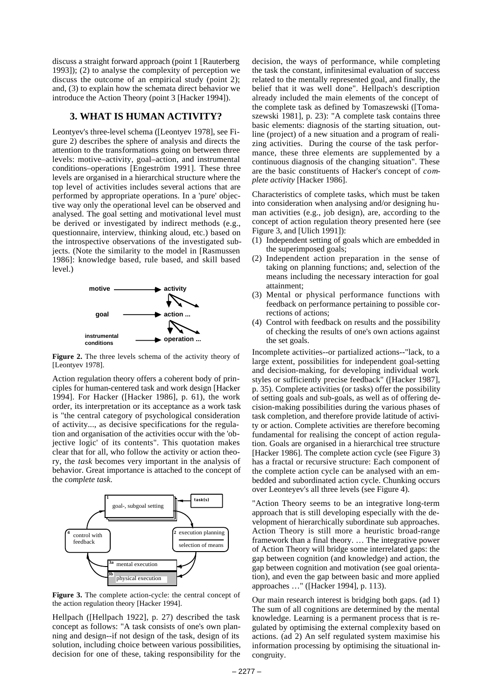discuss a straight forward approach (point 1 [Rauterberg 1993]); (2) to analyse the complexity of perception we discuss the outcome of an empirical study (point 2); and, (3) to explain how the schemata direct behavior we introduce the Action Theory (point 3 [Hacker 1994]).

#### **3. WHAT IS HUMAN ACTIVITY?**

Leontyev's three-level schema ([Leontyev 1978], see Figure 2) describes the sphere of analysis and directs the attention to the transformations going on between three levels: motive–activity, goal–action, and instrumental conditions–operations [Engeström 1991]. These three levels are organised in a hierarchical structure where the top level of activities includes several actions that are performed by appropriate operations. In a 'pure' objective way only the operational level can be observed and analysed. The goal setting and motivational level must be derived or investigated by indirect methods (e.g., questionnaire, interview, thinking aloud, etc.) based on the introspective observations of the investigated subjects. (Note the similarity to the model in [Rasmussen 1986]: knowledge based, rule based, and skill based level.)



**Figure 2.** The three levels schema of the activity theory of [Leontyev 1978].

Action regulation theory offers a coherent body of principles for human-centered task and work design [Hacker 1994]. For Hacker ([Hacker 1986], p. 61), the work order, its interpretation or its acceptance as a work task is "the central category of psychological consideration of activity..., as decisive specifications for the regulation and organisation of the activities occur with the 'objective logic' of its contents". This quotation makes clear that for all, who follow the activity or action theory, the *task* becomes very important in the analysis of behavior. Great importance is attached to the concept of the *complete task*.



**Figure 3.** The complete action-cycle: the central concept of the action regulation theory [Hacker 1994].

Hellpach ([Hellpach 1922], p. 27) described the task concept as follows: "A task consists of one's own planning and design--if not design of the task, design of its solution, including choice between various possibilities, decision for one of these, taking responsibility for the

decision, the ways of performance, while completing the task the constant, infinitesimal evaluation of success related to the mentally represented goal, and finally, the belief that it was well done". Hellpach's description already included the main elements of the concept of the complete task as defined by Tomaszewski ([Tomaszewski 1981], p. 23): "A complete task contains three basic elements: diagnosis of the starting situation, outline (project) of a new situation and a program of realizing activities. During the course of the task performance, these three elements are supplemented by a continuous diagnosis of the changing situation". These are the basic constituents of Hacker's concept of *complete activity* [Hacker 1986].

Characteristics of complete tasks, which must be taken into consideration when analysing and/or designing human activities (e.g., job design), are, according to the concept of action regulation theory presented here (see Figure 3, and [Ulich 1991]):

- (1) Independent setting of goals which are embedded in the superimposed goals;
- (2) Independent action preparation in the sense of taking on planning functions; and, selection of the means including the necessary interaction for goal attainment;
- (3) Mental or physical performance functions with feedback on performance pertaining to possible corrections of actions;
- (4) Control with feedback on results and the possibility of checking the results of one's own actions against the set goals.

Incomplete activities--or partialized actions--"lack, to a large extent, possibilities for independent goal-setting and decision-making, for developing individual work styles or sufficiently precise feedback" ([Hacker 1987], p. 35). Complete activities (or tasks) offer the possibility of setting goals and sub-goals, as well as of offering decision-making possibilities during the various phases of task completion, and therefore provide latitude of activity or action. Complete activities are therefore becoming fundamental for realising the concept of action regulation. Goals are organised in a hierarchical tree structure [Hacker 1986]. The complete action cycle (see Figure 3) has a fractal or recursive structure: Each component of the complete action cycle can be analysed with an embedded and subordinated action cycle. Chunking occurs over Leonteyev's all three levels (see Figure 4).

"Action Theory seems to be an integrative long-term approach that is still developing especially with the development of hierarchically subordinate sub approaches. Action Theory is still more a heuristic broad-range framework than a final theory. … The integrative power of Action Theory will bridge some interrelated gaps: the gap between cognition (and knowledge) and action, the gap between cognition and motivation (see goal orientation), and even the gap between basic and more applied approaches …" ([Hacker 1994], p. 113).

Our main research interest is bridging both gaps. (ad 1) The sum of all cognitions are determined by the mental knowledge. Learning is a permanent process that is regulated by optimising the external complexity based on actions. (ad 2) An self regulated system maximise his information processing by optimising the situational incongruity.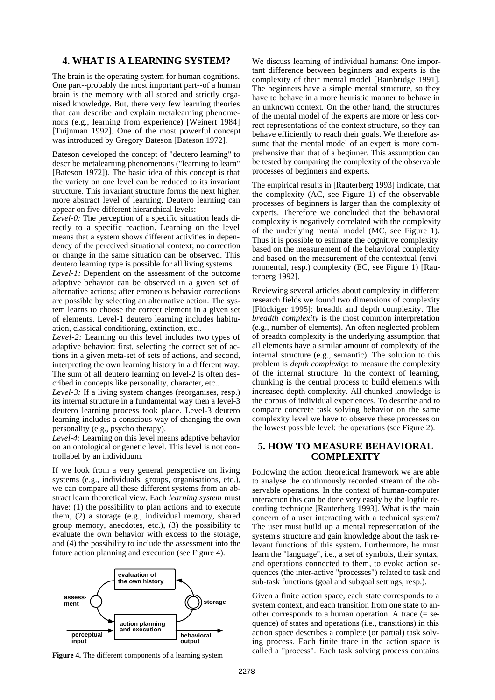#### **4. WHAT IS A LEARNING SYSTEM?**

The brain is the operating system for human cognitions. One part--probably the most important part--of a human brain is the memory with all stored and strictly organised knowledge. But, there very few learning theories that can describe and explain metalearning phenomenons (e.g., learning from experience) [Weinert 1984] [Tuijnman 1992]. One of the most powerful concept was introduced by Gregory Bateson [Bateson 1972].

Bateson developed the concept of "deutero learning" to describe metalearning phenomenons ("learning to learn" [Bateson 1972]). The basic idea of this concept is that the variety on one level can be reduced to its invariant structure. This invariant structure forms the next higher, more abstract level of learning. Deutero learning can appear on five different hierarchical levels:

*Level-0:* The perception of a specific situation leads directly to a specific reaction. Learning on the level means that a system shows different activities in dependency of the perceived situational context; no correction or change in the same situation can be observed. This deutero learning type is possible for all living systems.

*Level-1:* Dependent on the assessment of the outcome adaptive behavior can be observed in a given set of alternative actions; after erroneous behavior corrections are possible by selecting an alternative action. The system learns to choose the correct element in a given set of elements. Level-1 deutero learning includes habituation, classical conditioning, extinction, etc..

*Level-2:* Learning on this level includes two types of adaptive behavior: first, selecting the correct set of actions in a given meta-set of sets of actions, and second, interpreting the own learning history in a different way. The sum of all deutero learning on level-2 is often described in concepts like personality, character, etc..

*Level-3:* If a living system changes (reorganises, resp.) its internal structure in a fundamental way then a level-3 deutero learning process took place. Level-3 deutero learning includes a conscious way of changing the own personality (e.g., psycho therapy).

*Level-4:* Learning on this level means adaptive behavior on an ontological or genetic level. This level is not controllabel by an individuum.

If we look from a very general perspective on living systems (e.g., individuals, groups, organisations, etc.), we can compare all these different systems from an abstract learn theoretical view. Each *learning system* must have: (1) the possibility to plan actions and to execute them, (2) a storage (e.g., individual memory, shared group memory, anecdotes, etc.), (3) the possibility to evaluate the own behavior with excess to the storage, and (4) the possibility to include the assessment into the future action planning and execution (see Figure 4).



**Figure 4.** The different components of a learning system

We discuss learning of individual humans: One important difference between beginners and experts is the complexity of their mental model [Bainbridge 1991]. The beginners have a simple mental structure, so they have to behave in a more heuristic manner to behave in an unknown context. On the other hand, the structures of the mental model of the experts are more or less correct representations of the context structure, so they can behave efficiently to reach their goals. We therefore assume that the mental model of an expert is more comprehensive than that of a beginner. This assumption can be tested by comparing the complexity of the observable processes of beginners and experts.

The empirical results in [Rauterberg 1993] indicate, that the complexity (AC, see Figure 1) of the observable processes of beginners is larger than the complexity of experts. Therefore we concluded that the behavioral complexity is negatively correlated with the complexity of the underlying mental model (MC, see Figure 1). Thus it is possible to estimate the cognitive complexity based on the measurement of the behavioral complexity and based on the measurement of the contextual (environmental, resp.) complexity (EC, see Figure 1) [Rauterberg 1992].

Reviewing several articles about complexity in different research fields we found two dimensions of complexity [Flückiger 1995]: breadth and depth complexity. The *breadth complexity* is the most common interpretation (e.g., number of elements). An often neglected problem of breadth complexity is the underlying assumption that all elements have a similar amount of complexity of the internal structure (e.g., semantic). The solution to this problem is *depth complexity*: to measure the complexity of the internal structure. In the context of learning, chunking is the central process to build elements with increased depth complexity. All chunked knowledge is the corpus of individual experiences. To describe and to compare concrete task solving behavior on the same complexity level we have to observe these processes on the lowest possible level: the operations (see Figure 2).

#### **5. HOW TO MEASURE BEHAVIORAL COMPLEXITY**

Following the action theoretical framework we are able to analyse the continuously recorded stream of the observable operations. In the context of human-computer interaction this can be done very easily by the logfile recording technique [Rauterberg 1993]. What is the main concern of a user interacting with a technical system? The user must build up a mental representation of the system's structure and gain knowledge about the task relevant functions of this system. Furthermore, he must learn the "language", i.e., a set of symbols, their syntax, and operations connected to them, to evoke action sequences (the inter-active "processes") related to task and sub-task functions (goal and subgoal settings, resp.).

Given a finite action space, each state corresponds to a system context, and each transition from one state to another corresponds to a human operation. A trace  $(=$  sequence) of states and operations (i.e., transitions) in this action space describes a complete (or partial) task solving process. Each finite trace in the action space is called a "process". Each task solving process contains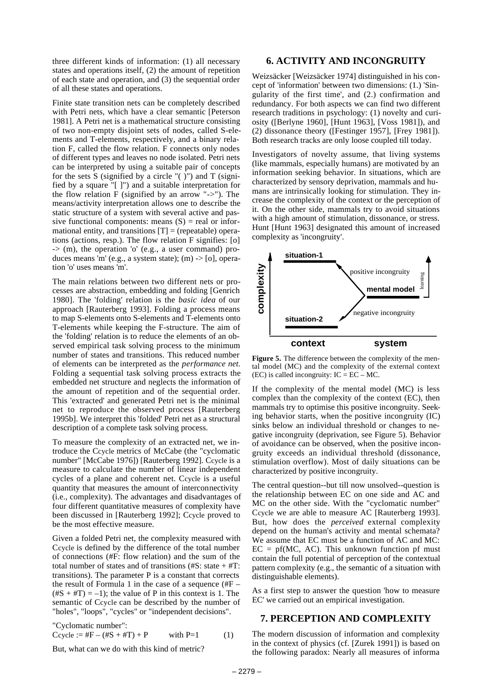three different kinds of information: (1) all necessary states and operations itself, (2) the amount of repetition of each state and operation, and (3) the sequential order of all these states and operations.

Finite state transition nets can be completely described with Petri nets, which have a clear semantic [Peterson 1981]. A Petri net is a mathematical structure consisting of two non-empty disjoint sets of nodes, called S-elements and T-elements, respectively, and a binary relation F, called the flow relation. F connects only nodes of different types and leaves no node isolated. Petri nets can be interpreted by using a suitable pair of concepts for the sets  $\overline{S}$  (signified by a circle "( )") and  $\overline{T}$  (signified by a square "[ ]") and a suitable interpretation for the flow relation F (signified by an arrow "->"). The means/activity interpretation allows one to describe the static structure of a system with several active and passive functional components: means  $(S)$  = real or informational entity, and transitions  $[T] =$  (repeatable) operations (actions, resp.). The flow relation F signifies: [o]  $\Rightarrow$  (m), the operation 'o' (e.g., a user command) produces means 'm' (e.g., a system state); (m)  $\rightarrow$  [o], operation 'o' uses means 'm'.

The main relations between two different nets or processes are abstraction, embedding and folding [Genrich 1980]. The 'folding' relation is the *basic idea* of our approach [Rauterberg 1993]. Folding a process means to map S-elements onto S-elements and T-elements onto T-elements while keeping the F-structure. The aim of the 'folding' relation is to reduce the elements of an observed empirical task solving process to the minimum number of states and transitions. This reduced number of elements can be interpreted as the *performance net*. Folding a sequential task solving process extracts the embedded net structure and neglects the information of the amount of repetition and of the sequential order. This 'extracted' and generated Petri net is the minimal net to reproduce the observed process [Rauterberg 1995b]. We interpret this 'folded' Petri net as a structural description of a complete task solving process.

To measure the complexity of an extracted net, we introduce the Ccycle metrics of McCabe (the "cyclomatic number" [McCabe 1976]) [Rauterberg 1992]. Ccycle is a measure to calculate the number of linear independent cycles of a plane and coherent net. Ccycle is a useful quantity that measures the amount of interconnectivity (i.e., complexity). The advantages and disadvantages of four different quantitative measures of complexity have been discussed in [Rauterberg 1992]; Ccycle proved to be the most effective measure.

Given a folded Petri net, the complexity measured with Ccycle is defined by the difference of the total number of connections (#F: flow relation) and the sum of the total number of states and of transitions  $(\#S: state + \#T)$ : transitions). The parameter P is a constant that corrects the result of Formula 1 in the case of a sequence (#F –  $(\text{#S} + \text{#T}) = -1$ ; the value of P in this context is 1. The semantic of Ccycle can be described by the number of "holes", "loops", "cycles" or "independent decisions".

"Cyclomatic number": Ccycle :=  $#F - (#S + #T) + P$  with P=1 (1)

But, what can we do with this kind of metric?

### **6. ACTIVITY AND INCONGRUITY**

Weizsäcker [Weizsäcker 1974] distinguished in his concept of 'information' between two dimensions: (1.) 'Singularity of the first time', and (2.) confirmation and redundancy. For both aspects we can find two different research traditions in psychology: (1) novelty and curiosity ([Berlyne 1960], [Hunt 1963], [Voss 1981]), and (2) dissonance theory ([Festinger 1957], [Frey 1981]). Both research tracks are only loose coupled till today.

Investigators of novelty assume, that living systems (like mammals, especially humans) are motivated by an information seeking behavior. In situations, which are characterized by sensory deprivation, mammals and humans are intrinsically looking for stimulation. They increase the complexity of the context or the perception of it. On the other side, mammals try to avoid situations with a high amount of stimulation, dissonance, or stress. Hunt [Hunt 1963] designated this amount of increased complexity as 'incongruity'.



Figure 5. The difference between the complexity of the mental model (MC) and the complexity of the external context (EC) is called incongruity:  $IC = EC - MC$ .

If the complexity of the mental model (MC) is less complex than the complexity of the context (EC), then mammals try to optimise this positive incongruity. Seeking behavior starts, when the positive incongruity (IC) sinks below an individual threshold or changes to negative incongruity (deprivation, see Figure 5). Behavior of avoidance can be observed, when the positive incongruity exceeds an individual threshold (dissonance, stimulation overflow). Most of daily situations can be characterized by positive incongruity.

The central question--but till now unsolved--question is the relationship between EC on one side and AC and MC on the other side. With the "cyclomatic number" Ccycle we are able to measure AC [Rauterberg 1993]. But, how does the *perceived* external complexity depend on the human's activity and mental schemata? We assume that EC must be a function of AC and MC:  $EC = pf(MC, AC)$ . This unknown function pf must contain the full potential of perception of the contextual pattern complexity (e.g., the semantic of a situation with distinguishable elements).

As a first step to answer the question 'how to measure EC' we carried out an empirical investigation.

### **7. PERCEPTION AND COMPLEXITY**

The modern discussion of information and complexity in the context of physics (cf. [Zurek 1991]) is based on the following paradox: Nearly all measures of informa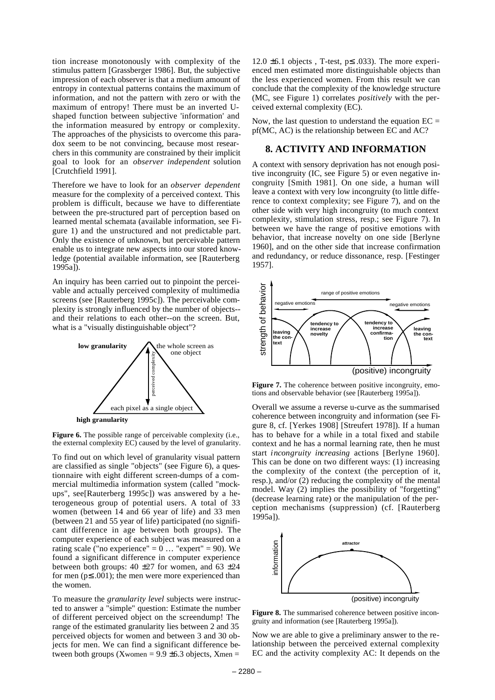tion increase monotonously with complexity of the stimulus pattern [Grassberger 1986]. But, the subjective impression of each observer is that a medium amount of entropy in contextual patterns contains the maximum of information, and not the pattern with zero or with the maximum of entropy! There must be an inverted Ushaped function between subjective 'information' and the information measured by entropy or complexity. The approaches of the physicists to overcome this paradox seem to be not convincing, because most researchers in this community are constrained by their implicit goal to look for an *observer independent* solution [Crutchfield 1991].

Therefore we have to look for an *observer dependent* measure for the complexity of a perceived context. This problem is difficult, because we have to differentiate between the pre-structured part of perception based on learned mental schemata (available information, see Figure 1) and the unstructured and not predictable part. Only the existence of unknown, but perceivable pattern enable us to integrate new aspects into our stored knowledge (potential available information, see [Rauterberg  $1995a$ ]).

An inquiry has been carried out to pinpoint the perceivable and actually perceived complexity of multimedia screens (see [Rauterberg 1995c]). The perceivable complexity is strongly influenced by the number of objects- and their relations to each other--on the screen. But, what is a "visually distinguishable object"?



**high granularity**

**Figure 6.** The possible range of perceivable complexity (i.e., the external complexity EC) caused by the level of granularity.

To find out on which level of granularity visual pattern are classified as single "objects" (see Figure 6), a questionnaire with eight different screen-dumps of a commercial multimedia information system (called "mockups", see[Rauterberg 1995c]) was answered by a heterogeneous group of potential users. A total of 33 women (between 14 and 66 year of life) and 33 men (between 21 and 55 year of life) participated (no significant difference in age between both groups). The computer experience of each subject was measured on a rating scale ("no experience" =  $0 \dots$  "expert" = 90). We found a significant difference in computer experience between both groups:  $40 \pm 27$  for women, and  $63 \pm 24$ for men ( $p \le 0.001$ ); the men were more experienced than the women.

To measure the *granularity level* subjects were instructed to answer a "simple" question: Estimate the number of different perceived object on the screendump! The range of the estimated granularity lies between 2 and 35 perceived objects for women and between 3 and 30 objects for men. We can find a significant difference between both groups (Xwomen =  $9.9 \pm 6.3$  objects, Xmen =

12.0  $\pm$ 6.1 objects, T-test, p $\leq$  033). The more experienced men estimated more distinguishable objects than the less experienced women. From this result we can conclude that the complexity of the knowledge structure (MC, see Figure 1) correlates *positively* with the perceived external complexity (EC).

Now, the last question to understand the equation  $EC =$ pf(MC, AC) is the relationship between EC and AC?

#### **8. ACTIVITY AND INFORMATION**

A context with sensory deprivation has not enough positive incongruity (IC, see Figure 5) or even negative incongruity [Smith 1981]. On one side, a human will leave a context with very low incongruity (to little difference to context complexity; see Figure 7), and on the other side with very high incongruity (to much context complexity, stimulation stress, resp.; see Figure 7). In between we have the range of positive emotions with behavior, that increase novelty on one side [Berlyne 1960], and on the other side that increase confirmation and redundancy, or reduce dissonance, resp. [Festinger 1957].



Figure 7. The coherence between positive incongruity, emotions and observable behavior (see [Rauterberg 1995a]).

Overall we assume a reverse u-curve as the summarised coherence between incongruity and information (see Figure 8, cf. [Yerkes 1908] [Streufert 1978]). If a human has to behave for a while in a total fixed and stabile context and he has a normal learning rate, then he must start *incongruity increasing* actions [Berlyne 1960]. This can be done on two different ways: (1) increasing the complexity of the context (the perception of it, resp.), and/or (2) reducing the complexity of the mental model. Way (2) implies the possibility of "forgetting" (decrease learning rate) or the manipulation of the perception mechanisms (suppression) (cf. [Rauterberg 1995a]).



**Figure 8.** The summarised coherence between positive incongruity and information (see [Rauterberg 1995a]).

Now we are able to give a preliminary answer to the relationship between the perceived external complexity EC and the activity complexity AC: It depends on the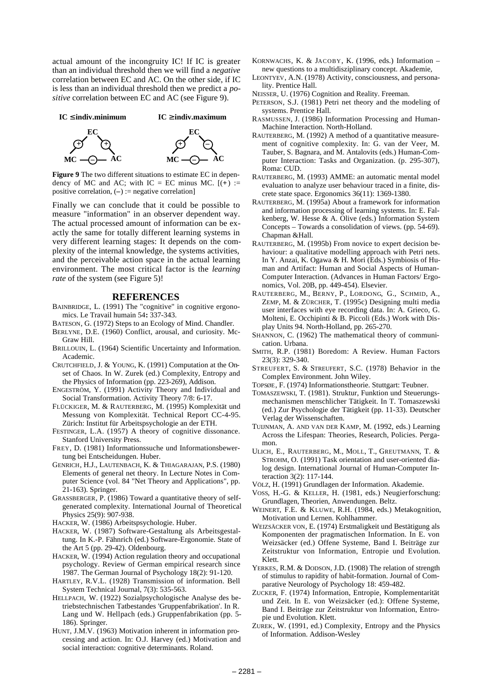actual amount of the incongruity IC! If IC is greater than an individual threshold then we will find a *negative* correlation between EC and AC. On the other side, if IC is less than an individual threshold then we predict a *positive* correlation between EC and AC (see Figure 9).





**Figure 9** The two different situations to estimate EC in dependency of MC and AC; with IC = EC minus MC.  $[ (+) :=$ positive correlation, (**–**) := negative correlation]

Finally we can conclude that it could be possible to measure "information" in an observer dependent way. The actual processed amount of information can be exactly the same for totally different learning systems in very different learning stages: It depends on the complexity of the internal knowledge, the systems activities, and the perceivable action space in the actual learning environment. The most critical factor is the *learning rate* of the system (see Figure 5)!

#### **REFERENCES**

- BAINBRIDGE, L. (1991) The "cognitive" in cognitive ergonomics. Le Travail humain 54**:** 337-343.
- BATESON, G. (1972) Steps to an Ecology of Mind. Chandler.
- BERLYNE, D.E. (1960) Conflict, arousal, and curiosity. Mc-Graw Hill.
- BRILLOUIN, L. (1964) Scientific Uncertainty and Information. Academic.
- CRUTCHFIELD, J. & YOUNG, K. (1991) Computation at the Onset of Chaos. In W. Zurek (ed.) Complexity, Entropy and the Physics of Information (pp. 223-269), Addison.
- ENGESTRÖM, Y. (1991) Activity Theory and Individual and Social Transformation. Activity Theory 7/8: 6-17.
- FLÜCKIGER, M. & RAUTERBERG, M. (1995) Komplexität und Messung von Komplexität. Technical Report CC-4-95. Zürich: Institut für Arbeitspsychologie an der ETH.
- FESTINGER, L.A. (1957) A theory of cognitive dissonance. Stanford University Press.
- FREY, D. (1981) Informationssuche und Informationsbewertung bei Entscheidungen. Huber.
- GENRICH, H.J., LAUTENBACH, K. & THIAGARAJAN, P.S. (1980) Elements of general net theory. In Lecture Notes in Computer Science (vol. 84 "Net Theory and Applications", pp. 21-163). Springer.
- GRASSBERGER, P. (1986) Toward a quantitative theory of selfgenerated complexity. International Journal of Theoretical Physics 25(9): 907-938.

HACKER, W. (1986) Arbeitspsychologie. Huber.

- HACKER, W. (1987) Software-Gestaltung als Arbeitsgestaltung. In K.-P. Fähnrich (ed.) Software-Ergonomie. State of the Art 5 (pp. 29-42). Oldenbourg.
- HACKER, W. (1994) Action regulation theory and occupational psychology. Review of German empirical research since 1987. The German Journal of Psychology 18(2): 91-120.
- HARTLEY, R.V.L. (1928) Transmission of information. Bell System Technical Journal, 7(3): 535-563.
- HELLPACH, W. (1922) Sozialpsychologische Analyse des betriebstechnischen Tatbestandes 'Gruppenfabrikation'. In R. Lang und W. Hellpach (eds.) Gruppenfabrikation (pp. 5- 186). Springer.
- HUNT, J.M.V. (1963) Motivation inherent in information processing and action. In: O.J. Harvey (ed.) Motivation and social interaction: cognitive determinants. Roland.
- KORNWACHS, K. & JACOBY, K. (1996, eds.) Information new questions to a multidisziplinary concept. Akademie,
- LEONTYEV, A.N. (1978) Activity, consciousness, and personality. Prentice Hall.
- NEISSER, U. (1976) Cognition and Reality. Freeman.
- PETERSON, S.J. (1981) Petri net theory and the modeling of systems. Prentice Hall.
- RASMUSSEN, J. (1986) Information Processing and Human-Machine Interaction. North-Holland.
- RAUTERBERG, M. (1992) A method of a quantitative measurement of cognitive complexity. In: G. van der Veer, M. Tauber, S. Bagnara, and M. Antalovits (eds.) Human-Computer Interaction: Tasks and Organization. (p. 295-307), Roma: CUD.
- RAUTERBERG, M. (1993) AMME: an automatic mental model evaluation to analyze user behaviour traced in a finite, discrete state space. Ergonomics 36(11): 1369-1380.
- RAUTERBERG, M. (1995a) About a framework for information and information processing of learning systems. In: E. Falkenberg, W. Hesse & A. Olive (eds.) Information System Concepts – Towards a consolidation of views. (pp. 54-69). Chapman &Hall.
- RAUTERBERG, M. (1995b) From novice to expert decision behaviour: a qualitative modelling approach with Petri nets. In Y. Anzai, K. Ogawa & H. Mori (Eds.) Symbiosis of Human and Artifact: Human and Social Aspects of Human-Computer Interaction. (Advances in Human Factors/ Ergonomics, Vol. 20B, pp. 449-454). Elsevier.
- RAUTERBERG, M., BERNY, P., LORDONG, G., SCHMID, A., ZEMP, M. & ZÜRCHER, T. (1995c) Designing multi media user interfaces with eye recording data. In: A. Grieco, G. Molteni, E. Occhipinti & B. Piccoli (Eds.) Work with Display Units 94. North-Holland, pp. 265-270.
- SHANNON, C. (1962) The mathematical theory of communication. Urbana.
- SMITH, R.P. (1981) Boredom: A Review. Human Factors 23(3): 329-340.
- STREUFERT, S. & STREUFERT, S.C. (1978) Behavior in the Complex Environment. John Wiley.
- TOPSØE, F. (1974) Informationstheorie. Stuttgart: Teubner.
- TOMASZEWSKI, T. (1981). Struktur, Funktion und Steuerungsmechanismen menschlicher Tätigkeit. In T. Tomaszewski (ed.) Zur Psychologie der Tätigkeit (pp. 11-33). Deutscher Verlag der Wissenschaften.
- TUIJNMAN, A. AND VAN DER KAMP, M. (1992, eds.) Learning Across the Lifespan: Theories, Research, Policies. Pergamon.
- ULICH, E., RAUTERBERG, M., MOLL, T., GREUTMANN, T. & STROHM, O. (1991) Task orientation and user-oriented dialog design. International Journal of Human-Computer Interaction 3(2): 117-144.
- VÖLZ, H. (1991) Grundlagen der Information. Akademie.
- VOSS, H.-G. & KELLER, H. (1981, eds.) Neugierforschung: Grundlagen, Theorien, Anwendungen. Beltz.
- WEINERT, F.E. & KLUWE, R.H. (1984, eds.) Metakognition, Motivation und Lernen. Kohlhammer.
- WEIZSÄCKER VON, E. (1974) Erstmaligkeit und Bestätigung als Komponenten der pragmatischen Information. In E. von Weizsäcker (ed.) Offene Systeme, Band I. Beiträge zur Zeitstruktur von Information, Entropie und Evolution. Klett.
- YERKES, R.M. & DODSON, J.D. (1908) The relation of strength of stimulus to rapidity of habit-formation. Journal of Comparative Neurology of Psychology 18: 459-482.
- ZUCKER, F. (1974) Information, Entropie, Komplementarität und Zeit. In E. von Weizsäcker (ed.): Offene Systeme, Band I. Beiträge zur Zeitstruktur von Information, Entropie und Evolution. Klett.
- ZUREK, W. (1991, ed.) Complexity, Entropy and the Physics of Information. Addison-Wesley